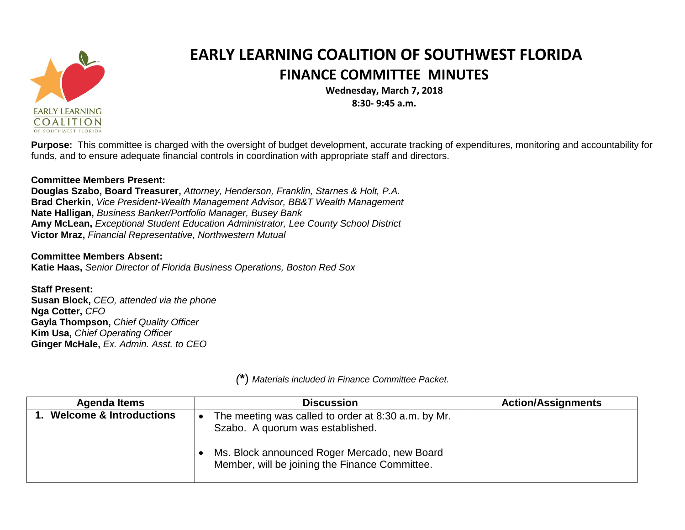

## **EARLY LEARNING COALITION OF SOUTHWEST FLORIDA FINANCE COMMITTEE MINUTES**

**Wednesday, March 7, 2018 8:30- 9:45 a.m.**

**Purpose:** This committee is charged with the oversight of budget development, accurate tracking of expenditures, monitoring and accountability for funds, and to ensure adequate financial controls in coordination with appropriate staff and directors.

## **Committee Members Present:**

**Douglas Szabo, Board Treasurer,** *Attorney, Henderson, Franklin, Starnes & Holt, P.A.* **Brad Cherkin**, *Vice President-Wealth Management Advisor, BB&T Wealth Management* **Nate Halligan,** *Business Banker/Portfolio Manager, Busey Bank* **Amy McLean,** *Exceptional Student Education Administrator, Lee County School District* **Victor Mraz,** *Financial Representative, Northwestern Mutual*

**Committee Members Absent: Katie Haas,** *Senior Director of Florida Business Operations, Boston Red Sox*

**Staff Present: Susan Block,** *CEO, attended via the phone* **Nga Cotter,** *CFO* **Gayla Thompson,** *Chief Quality Officer* **Kim Usa,** *Chief Operating Officer* **Ginger McHale,** *Ex. Admin. Asst. to CEO*

| Agenda Items                       | <b>Discussion</b>                                                                              | <b>Action/Assignments</b> |
|------------------------------------|------------------------------------------------------------------------------------------------|---------------------------|
| <b>Welcome &amp; Introductions</b> | The meeting was called to order at 8:30 a.m. by Mr.<br>Szabo. A quorum was established.        |                           |
|                                    | Ms. Block announced Roger Mercado, new Board<br>Member, will be joining the Finance Committee. |                           |

*(***\***) *Materials included in Finance Committee Packet.*